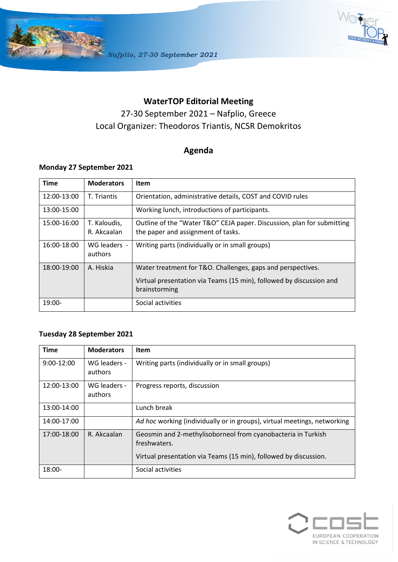



## **WaterTOP Editorial Meeting**

# 27-30 September 2021 – Nafplio, Greece Local Organizer: Theodoros Triantis, NCSR Demokritos

## **Agenda**

#### **Monday 27 September 2021**

| <b>Time</b> | <b>Moderators</b>           | <b>Item</b>                                                                                                  |
|-------------|-----------------------------|--------------------------------------------------------------------------------------------------------------|
| 12:00-13:00 | T. Triantis                 | Orientation, administrative details, COST and COVID rules                                                    |
| 13:00-15:00 |                             | Working lunch, introductions of participants.                                                                |
| 15:00-16:00 | T. Kaloudis,<br>R. Akcaalan | Outline of the "Water T&O" CEJA paper. Discussion, plan for submitting<br>the paper and assignment of tasks. |
| 16:00-18:00 | WG leaders -<br>authors     | Writing parts (individually or in small groups)                                                              |
| 18:00-19:00 | A. Hiskia                   | Water treatment for T&O. Challenges, gaps and perspectives.                                                  |
|             |                             | Virtual presentation via Teams (15 min), followed by discussion and<br>brainstorming                         |
| $19:00-$    |                             | Social activities                                                                                            |

### **Tuesday 28 September 2021**

| <b>Time</b>  | <b>Moderators</b>       | <b>Item</b>                                                                                                                                      |
|--------------|-------------------------|--------------------------------------------------------------------------------------------------------------------------------------------------|
| $9:00-12:00$ | WG leaders -<br>authors | Writing parts (individually or in small groups)                                                                                                  |
| 12:00-13:00  | WG leaders -<br>authors | Progress reports, discussion                                                                                                                     |
| 13:00-14:00  |                         | Lunch break                                                                                                                                      |
| 14:00-17:00  |                         | Ad hoc working (individually or in groups), virtual meetings, networking                                                                         |
| 17:00-18:00  | R. Akcaalan             | Geosmin and 2-methylisoborneol from cyanobacteria in Turkish<br>freshwaters.<br>Virtual presentation via Teams (15 min), followed by discussion. |
| $18:00-$     |                         | Social activities                                                                                                                                |